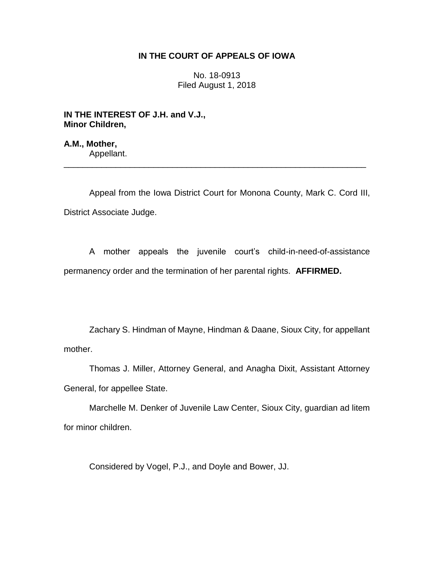# **IN THE COURT OF APPEALS OF IOWA**

No. 18-0913 Filed August 1, 2018

**IN THE INTEREST OF J.H. and V.J., Minor Children,**

**A.M., Mother,** Appellant.

Appeal from the Iowa District Court for Monona County, Mark C. Cord III, District Associate Judge.

\_\_\_\_\_\_\_\_\_\_\_\_\_\_\_\_\_\_\_\_\_\_\_\_\_\_\_\_\_\_\_\_\_\_\_\_\_\_\_\_\_\_\_\_\_\_\_\_\_\_\_\_\_\_\_\_\_\_\_\_\_\_\_\_

A mother appeals the juvenile court's child-in-need-of-assistance permanency order and the termination of her parental rights. **AFFIRMED.**

Zachary S. Hindman of Mayne, Hindman & Daane, Sioux City, for appellant mother.

Thomas J. Miller, Attorney General, and Anagha Dixit, Assistant Attorney General, for appellee State.

Marchelle M. Denker of Juvenile Law Center, Sioux City, guardian ad litem for minor children.

Considered by Vogel, P.J., and Doyle and Bower, JJ.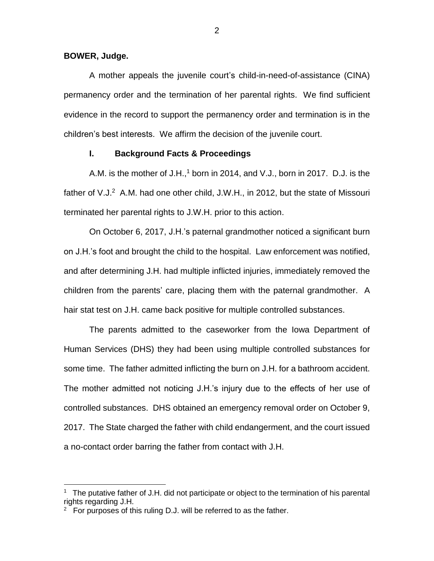#### **BOWER, Judge.**

 $\overline{a}$ 

A mother appeals the juvenile court's child-in-need-of-assistance (CINA) permanency order and the termination of her parental rights. We find sufficient evidence in the record to support the permanency order and termination is in the children's best interests. We affirm the decision of the juvenile court.

## **I. Background Facts & Proceedings**

A.M. is the mother of  $J.H.,<sup>1</sup>$  born in 2014, and V.J., born in 2017. D.J. is the father of V.J.<sup>2</sup> A.M. had one other child, J.W.H., in 2012, but the state of Missouri terminated her parental rights to J.W.H. prior to this action.

On October 6, 2017, J.H.'s paternal grandmother noticed a significant burn on J.H.'s foot and brought the child to the hospital. Law enforcement was notified, and after determining J.H. had multiple inflicted injuries, immediately removed the children from the parents' care, placing them with the paternal grandmother. A hair stat test on J.H. came back positive for multiple controlled substances.

The parents admitted to the caseworker from the Iowa Department of Human Services (DHS) they had been using multiple controlled substances for some time. The father admitted inflicting the burn on J.H. for a bathroom accident. The mother admitted not noticing J.H.'s injury due to the effects of her use of controlled substances. DHS obtained an emergency removal order on October 9, 2017. The State charged the father with child endangerment, and the court issued a no-contact order barring the father from contact with J.H.

<sup>&</sup>lt;sup>1</sup> The putative father of J.H. did not participate or object to the termination of his parental rights regarding J.H.

 $2$  For purposes of this ruling D.J. will be referred to as the father.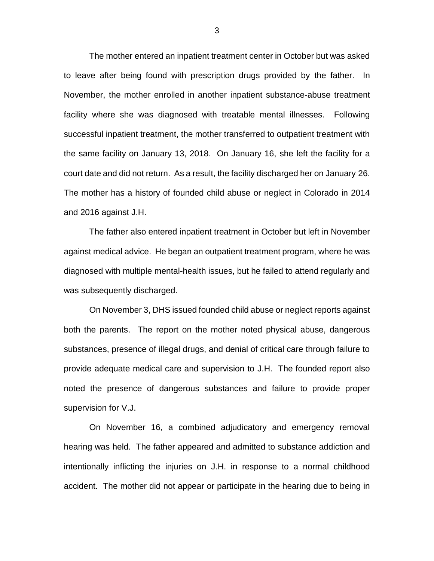The mother entered an inpatient treatment center in October but was asked to leave after being found with prescription drugs provided by the father. In November, the mother enrolled in another inpatient substance-abuse treatment facility where she was diagnosed with treatable mental illnesses. Following successful inpatient treatment, the mother transferred to outpatient treatment with the same facility on January 13, 2018. On January 16, she left the facility for a court date and did not return. As a result, the facility discharged her on January 26. The mother has a history of founded child abuse or neglect in Colorado in 2014 and 2016 against J.H.

The father also entered inpatient treatment in October but left in November against medical advice. He began an outpatient treatment program, where he was diagnosed with multiple mental-health issues, but he failed to attend regularly and was subsequently discharged.

On November 3, DHS issued founded child abuse or neglect reports against both the parents. The report on the mother noted physical abuse, dangerous substances, presence of illegal drugs, and denial of critical care through failure to provide adequate medical care and supervision to J.H. The founded report also noted the presence of dangerous substances and failure to provide proper supervision for V.J.

On November 16, a combined adjudicatory and emergency removal hearing was held. The father appeared and admitted to substance addiction and intentionally inflicting the injuries on J.H. in response to a normal childhood accident. The mother did not appear or participate in the hearing due to being in

3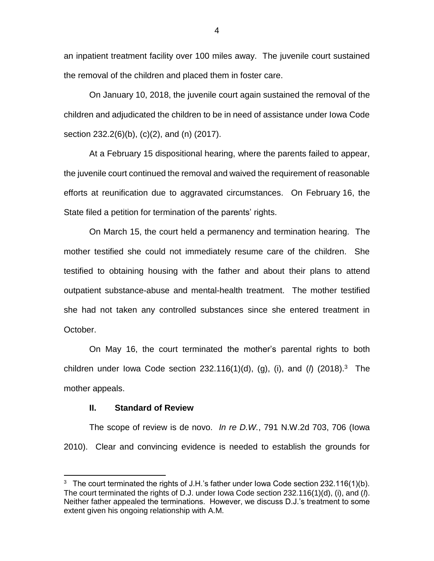an inpatient treatment facility over 100 miles away. The juvenile court sustained the removal of the children and placed them in foster care.

On January 10, 2018, the juvenile court again sustained the removal of the children and adjudicated the children to be in need of assistance under Iowa Code section 232.2(6)(b), (c)(2), and (n) (2017).

At a February 15 dispositional hearing, where the parents failed to appear, the juvenile court continued the removal and waived the requirement of reasonable efforts at reunification due to aggravated circumstances. On February 16, the State filed a petition for termination of the parents' rights.

On March 15, the court held a permanency and termination hearing. The mother testified she could not immediately resume care of the children. She testified to obtaining housing with the father and about their plans to attend outpatient substance-abuse and mental-health treatment. The mother testified she had not taken any controlled substances since she entered treatment in October.

On May 16, the court terminated the mother's parental rights to both children under Iowa Code section 232.116(1)(d), (g), (i), and (*l*) (2018). 3 The mother appeals.

## **II. Standard of Review**

 $\overline{a}$ 

The scope of review is de novo. *In re D.W.*, 791 N.W.2d 703, 706 (Iowa 2010). Clear and convincing evidence is needed to establish the grounds for

<sup>&</sup>lt;sup>3</sup> The court terminated the rights of J.H.'s father under Iowa Code section 232.116(1)(b). The court terminated the rights of D.J. under Iowa Code section 232.116(1)(d), (i), and (*l*). Neither father appealed the terminations. However, we discuss D.J.'s treatment to some extent given his ongoing relationship with A.M.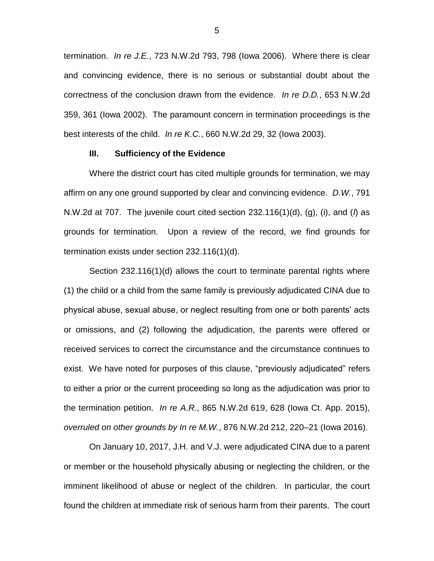termination. *In re J.E.*, 723 N.W.2d 793, 798 (Iowa 2006). Where there is clear and convincing evidence, there is no serious or substantial doubt about the correctness of the conclusion drawn from the evidence. *In re D.D.*, 653 N.W.2d 359, 361 (Iowa 2002). The paramount concern in termination proceedings is the best interests of the child. *In re K.C.*, 660 N.W.2d 29, 32 (Iowa 2003).

#### **III. Sufficiency of the Evidence**

Where the district court has cited multiple grounds for termination, we may affirm on any one ground supported by clear and convincing evidence. *D.W.*, 791 N.W.2d at 707. The juvenile court cited section 232.116(1)(d), (g), (i), and (*l*) as grounds for termination. Upon a review of the record, we find grounds for termination exists under section 232.116(1)(d).

Section 232.116(1)(d) allows the court to terminate parental rights where (1) the child or a child from the same family is previously adjudicated CINA due to physical abuse, sexual abuse, or neglect resulting from one or both parents' acts or omissions, and (2) following the adjudication, the parents were offered or received services to correct the circumstance and the circumstance continues to exist. We have noted for purposes of this clause, "previously adjudicated" refers to either a prior or the current proceeding so long as the adjudication was prior to the termination petition. *In re A.R.*, 865 N.W.2d 619, 628 (Iowa Ct. App. 2015), *overruled on other grounds by In re M.W.*, 876 N.W.2d 212, 220–21 (Iowa 2016).

On January 10, 2017, J.H. and V.J. were adjudicated CINA due to a parent or member or the household physically abusing or neglecting the children, or the imminent likelihood of abuse or neglect of the children. In particular, the court found the children at immediate risk of serious harm from their parents. The court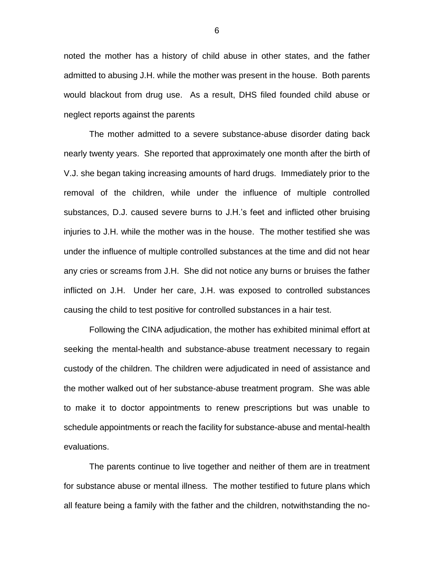noted the mother has a history of child abuse in other states, and the father admitted to abusing J.H. while the mother was present in the house. Both parents would blackout from drug use. As a result, DHS filed founded child abuse or neglect reports against the parents

The mother admitted to a severe substance-abuse disorder dating back nearly twenty years. She reported that approximately one month after the birth of V.J. she began taking increasing amounts of hard drugs. Immediately prior to the removal of the children, while under the influence of multiple controlled substances, D.J. caused severe burns to J.H.'s feet and inflicted other bruising injuries to J.H. while the mother was in the house. The mother testified she was under the influence of multiple controlled substances at the time and did not hear any cries or screams from J.H. She did not notice any burns or bruises the father inflicted on J.H. Under her care, J.H. was exposed to controlled substances causing the child to test positive for controlled substances in a hair test.

Following the CINA adjudication, the mother has exhibited minimal effort at seeking the mental-health and substance-abuse treatment necessary to regain custody of the children. The children were adjudicated in need of assistance and the mother walked out of her substance-abuse treatment program. She was able to make it to doctor appointments to renew prescriptions but was unable to schedule appointments or reach the facility for substance-abuse and mental-health evaluations.

The parents continue to live together and neither of them are in treatment for substance abuse or mental illness. The mother testified to future plans which all feature being a family with the father and the children, notwithstanding the no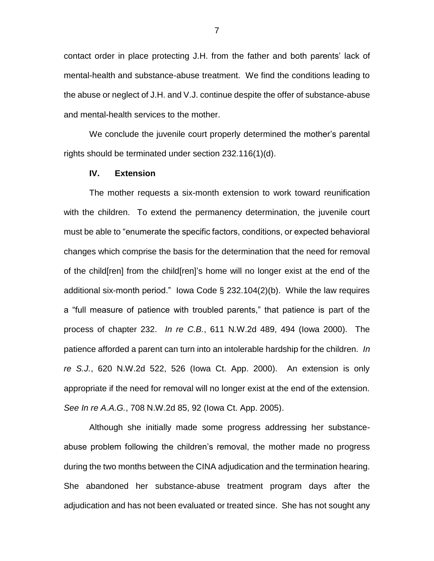contact order in place protecting J.H. from the father and both parents' lack of mental-health and substance-abuse treatment. We find the conditions leading to the abuse or neglect of J.H. and V.J. continue despite the offer of substance-abuse and mental-health services to the mother.

We conclude the juvenile court properly determined the mother's parental rights should be terminated under section 232.116(1)(d).

# **IV. Extension**

The mother requests a six-month extension to work toward reunification with the children. To extend the permanency determination, the juvenile court must be able to "enumerate the specific factors, conditions, or expected behavioral changes which comprise the basis for the determination that the need for removal of the child[ren] from the child[ren]'s home will no longer exist at the end of the additional six-month period." Iowa Code § 232.104(2)(b). While the law requires a "full measure of patience with troubled parents," that patience is part of the process of chapter 232. *In re C.B.*, 611 N.W.2d 489, 494 (Iowa 2000). The patience afforded a parent can turn into an intolerable hardship for the children. *In re S.J.*, 620 N.W.2d 522, 526 (Iowa Ct. App. 2000). An extension is only appropriate if the need for removal will no longer exist at the end of the extension. *See In re A.A.G.*, 708 N.W.2d 85, 92 (Iowa Ct. App. 2005).

Although she initially made some progress addressing her substanceabuse problem following the children's removal, the mother made no progress during the two months between the CINA adjudication and the termination hearing. She abandoned her substance-abuse treatment program days after the adjudication and has not been evaluated or treated since. She has not sought any